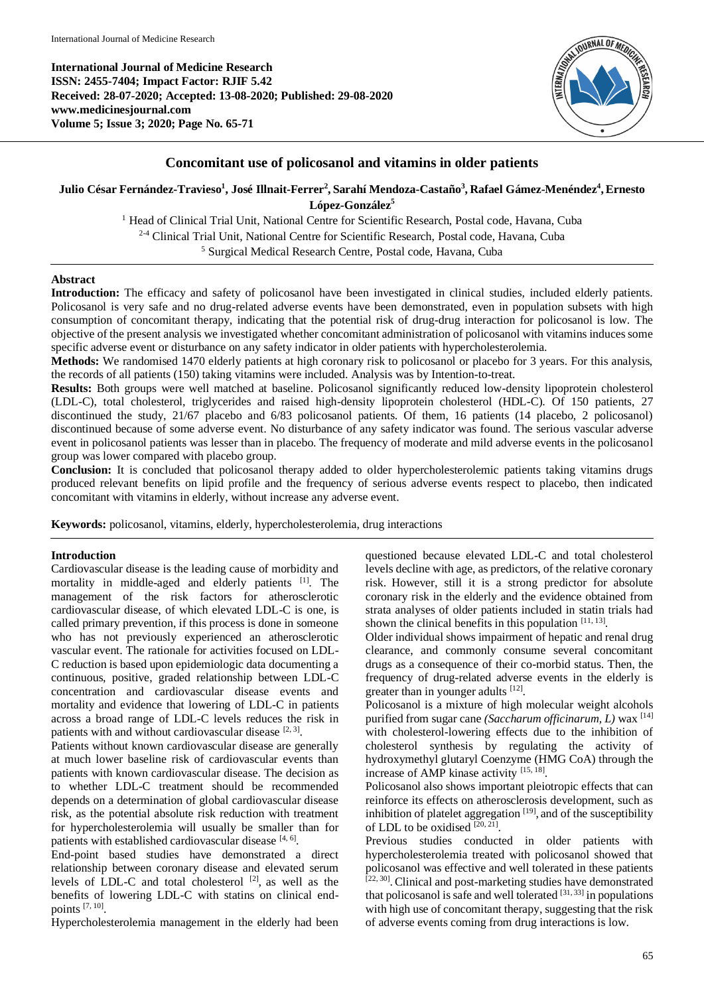**International Journal of Medicine Research ISSN: 2455-7404; Impact Factor: RJIF 5.42 Received: 28-07-2020; Accepted: 13-08-2020; Published: 29-08-2020 www.medicinesjournal.com Volume 5; Issue 3; 2020; Page No. 65-71**



# **Concomitant use of policosanol and vitamins in older patients**

**Julio César Fernández-Travieso<sup>1</sup> , José Illnait-Ferrer<sup>2</sup> , Sarahí Mendoza-Castaño<sup>3</sup> , Rafael Gámez-Menéndez<sup>4</sup> ,Ernesto López-González<sup>5</sup>**

> <sup>1</sup> Head of Clinical Trial Unit, National Centre for Scientific Research, Postal code, Havana, Cuba 2-4 Clinical Trial Unit, National Centre for Scientific Research, Postal code, Havana, Cuba <sup>5</sup> Surgical Medical Research Centre, Postal code, Havana, Cuba

#### **Abstract**

Introduction: The efficacy and safety of policosanol have been investigated in clinical studies, included elderly patients. Policosanol is very safe and no drug-related adverse events have been demonstrated, even in population subsets with high consumption of concomitant therapy, indicating that the potential risk of drug-drug interaction for policosanol is low. The objective of the present analysis we investigated whether concomitant administration of policosanol with vitamins induces some specific adverse event or disturbance on any safety indicator in older patients with hypercholesterolemia.

**Methods:** We randomised 1470 elderly patients at high coronary risk to policosanol or placebo for 3 years. For this analysis, the records of all patients (150) taking vitamins were included. Analysis was by Intention-to-treat.

**Results:** Both groups were well matched at baseline. Policosanol significantly reduced low-density lipoprotein cholesterol (LDL-C), total cholesterol, triglycerides and raised high-density lipoprotein cholesterol (HDL-C). Of 150 patients, 27 discontinued the study, 21/67 placebo and 6/83 policosanol patients. Of them, 16 patients (14 placebo, 2 policosanol) discontinued because of some adverse event. No disturbance of any safety indicator was found. The serious vascular adverse event in policosanol patients was lesser than in placebo. The frequency of moderate and mild adverse events in the policosanol group was lower compared with placebo group.

**Conclusion:** It is concluded that policosanol therapy added to older hypercholesterolemic patients taking vitamins drugs produced relevant benefits on lipid profile and the frequency of serious adverse events respect to placebo, then indicated concomitant with vitamins in elderly, without increase any adverse event.

**Keywords:** policosanol, vitamins, elderly, hypercholesterolemia, drug interactions

#### **Introduction**

Cardiovascular disease is the leading cause of morbidity and mortality in middle-aged and elderly patients [1] . The management of the risk factors for atherosclerotic cardiovascular disease, of which elevated LDL-C is one, is called primary prevention, if this process is done in someone who has not previously experienced an atherosclerotic vascular event. The rationale for activities focused on LDL-C reduction is based upon epidemiologic data documenting a continuous, positive, graded relationship between LDL-C concentration and cardiovascular disease events and mortality and evidence that lowering of LDL-C in patients across a broad range of LDL-C levels reduces the risk in patients with and without cardiovascular disease  $[2, 3]$ .

Patients without known cardiovascular disease are generally at much lower baseline risk of cardiovascular events than patients with known cardiovascular disease. The decision as to whether LDL-C treatment should be recommended depends on a determination of global cardiovascular disease risk, as the potential absolute risk reduction with treatment for hypercholesterolemia will usually be smaller than for patients with established cardiovascular disease [4, 6].

End-point based studies have demonstrated a direct relationship between coronary disease and elevated serum levels of LDL-C and total cholesterol  $[2]$ , as well as the benefits of lowering LDL-C with statins on clinical endpoints [7, 10] .

Hypercholesterolemia management in the elderly had been

questioned because elevated LDL-C and total cholesterol levels decline with age, as predictors, of the relative coronary risk. However, still it is a strong predictor for absolute coronary risk in the elderly and the evidence obtained from strata analyses of older patients included in statin trials had shown the clinical benefits in this population  $[11, 13]$ .

Older individual shows impairment of hepatic and renal drug clearance, and commonly consume several concomitant drugs as a consequence of their co-morbid status. Then, the frequency of drug-related adverse events in the elderly is greater than in younger adults [12].

Policosanol is a mixture of high molecular weight alcohols purified from sugar cane *(Saccharum officinarum, L)* wax <sup>[14]</sup> with cholesterol-lowering effects due to the inhibition of cholesterol synthesis by regulating the activity of hydroxymethyl glutaryl Coenzyme (HMG CoA) through the increase of AMP kinase activity [15, 18].

Policosanol also shows important pleiotropic effects that can reinforce its effects on atherosclerosis development, such as inhibition of platelet aggregation  $[19]$ , and of the susceptibility of LDL to be oxidised  $[20, 21]$ .

Previous studies conducted in older patients with hypercholesterolemia treated with policosanol showed that policosanol was effective and well tolerated in these patients [22, 30]. Clinical and post-marketing studies have demonstrated that policosanol is safe and well tolerated  $[31, 33]$  in populations with high use of concomitant therapy, suggesting that the risk of adverse events coming from drug interactions is low.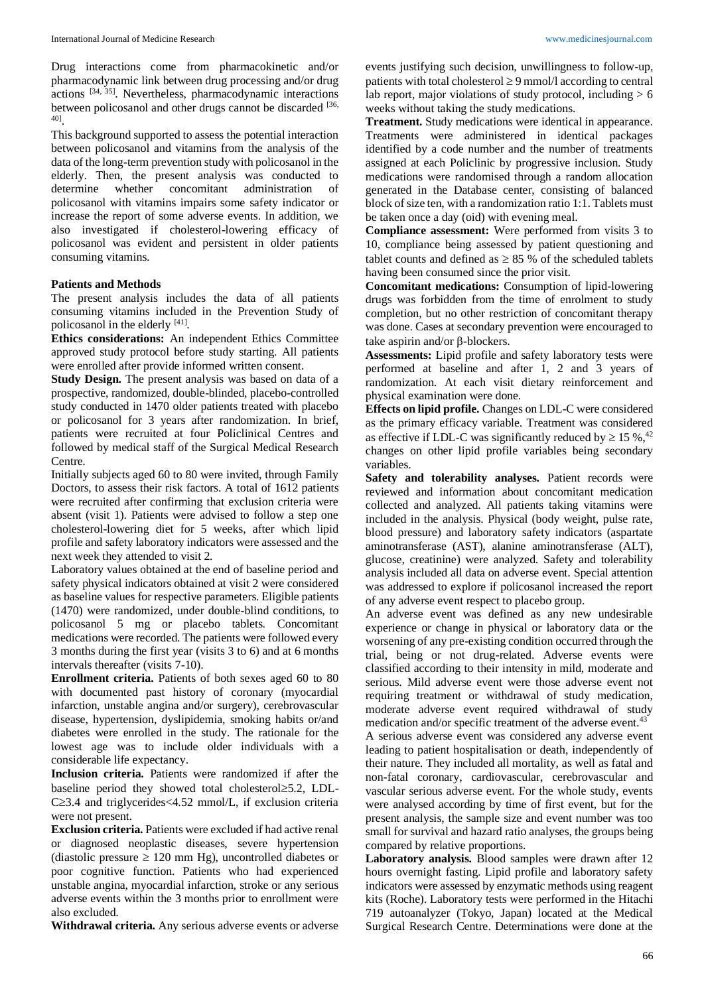Drug interactions come from pharmacokinetic and/or pharmacodynamic link between drug processing and/or drug actions<sup>[34, 35]</sup>. Nevertheless, pharmacodynamic interactions between policosanol and other drugs cannot be discarded [36, 40] .

This background supported to assess the potential interaction between policosanol and vitamins from the analysis of the data of the long-term prevention study with policosanol in the elderly. Then, the present analysis was conducted to determine whether concomitant administration of policosanol with vitamins impairs some safety indicator or increase the report of some adverse events. In addition, we also investigated if cholesterol-lowering efficacy of policosanol was evident and persistent in older patients consuming vitamins.

#### **Patients and Methods**

The present analysis includes the data of all patients consuming vitamins included in the Prevention Study of policosanol in the elderly [41].

**Ethics considerations:** An independent Ethics Committee approved study protocol before study starting. All patients were enrolled after provide informed written consent.

**Study Design.** The present analysis was based on data of a prospective, randomized, double-blinded, placebo-controlled study conducted in 1470 older patients treated with placebo or policosanol for 3 years after randomization. In brief, patients were recruited at four Policlinical Centres and followed by medical staff of the Surgical Medical Research Centre.

Initially subjects aged 60 to 80 were invited, through Family Doctors, to assess their risk factors. A total of 1612 patients were recruited after confirming that exclusion criteria were absent (visit 1). Patients were advised to follow a step one cholesterol-lowering diet for 5 weeks, after which lipid profile and safety laboratory indicators were assessed and the next week they attended to visit 2.

Laboratory values obtained at the end of baseline period and safety physical indicators obtained at visit 2 were considered as baseline values for respective parameters. Eligible patients (1470) were randomized, under double-blind conditions, to policosanol 5 mg or placebo tablets. Concomitant medications were recorded. The patients were followed every 3 months during the first year (visits 3 to 6) and at 6 months intervals thereafter (visits 7-10).

**Enrollment criteria.** Patients of both sexes aged 60 to 80 with documented past history of coronary (myocardial infarction, unstable angina and/or surgery), cerebrovascular disease, hypertension, dyslipidemia, smoking habits or/and diabetes were enrolled in the study. The rationale for the lowest age was to include older individuals with a considerable life expectancy.

**Inclusion criteria.** Patients were randomized if after the baseline period they showed total cholesterol $\geq$ 5.2, LDL- $C \geq 3.4$  and triglycerides  $\leq 4.52$  mmol/L, if exclusion criteria were not present.

**Exclusion criteria.** Patients were excluded if had active renal or diagnosed neoplastic diseases, severe hypertension (diastolic pressure  $\geq 120$  mm Hg), uncontrolled diabetes or poor cognitive function. Patients who had experienced unstable angina, myocardial infarction, stroke or any serious adverse events within the 3 months prior to enrollment were also excluded.

**Withdrawal criteria.** Any serious adverse events or adverse

events justifying such decision, unwillingness to follow-up, patients with total cholesterol  $\geq$  9 mmol/l according to central lab report, major violations of study protocol, including  $> 6$ weeks without taking the study medications.

**Treatment.** Study medications were identical in appearance. Treatments were administered in identical packages identified by a code number and the number of treatments assigned at each Policlinic by progressive inclusion. Study medications were randomised through a random allocation generated in the Database center, consisting of balanced block of size ten, with a randomization ratio 1:1. Tablets must be taken once a day (oid) with evening meal.

**Compliance assessment:** Were performed from visits 3 to 10, compliance being assessed by patient questioning and tablet counts and defined as  $\geq$  85 % of the scheduled tablets having been consumed since the prior visit.

**Concomitant medications:** Consumption of lipid-lowering drugs was forbidden from the time of enrolment to study completion, but no other restriction of concomitant therapy was done. Cases at secondary prevention were encouraged to take aspirin and/or  $\beta$ -blockers.

**Assessments:** Lipid profile and safety laboratory tests were performed at baseline and after 1, 2 and 3 years of randomization. At each visit dietary reinforcement and physical examination were done.

**Effects on lipid profile.** Changes on LDL-C were considered as the primary efficacy variable. Treatment was considered as effective if LDL-C was significantly reduced by  $\geq 15 \%$ , <sup>42</sup> changes on other lipid profile variables being secondary variables.

Safety and tolerability analyses. Patient records were reviewed and information about concomitant medication collected and analyzed. All patients taking vitamins were included in the analysis. Physical (body weight, pulse rate, blood pressure) and laboratory safety indicators (aspartate aminotransferase (AST), alanine aminotransferase (ALT), glucose, creatinine) were analyzed. Safety and tolerability analysis included all data on adverse event. Special attention was addressed to explore if policosanol increased the report of any adverse event respect to placebo group.

An adverse event was defined as any new undesirable experience or change in physical or laboratory data or the worsening of any pre-existing condition occurred through the trial, being or not drug-related. Adverse events were classified according to their intensity in mild, moderate and serious. Mild adverse event were those adverse event not requiring treatment or withdrawal of study medication, moderate adverse event required withdrawal of study medication and/or specific treatment of the adverse event.<sup>43</sup> A serious adverse event was considered any adverse event leading to patient hospitalisation or death, independently of their nature. They included all mortality, as well as fatal and non-fatal coronary, cardiovascular, cerebrovascular and vascular serious adverse event. For the whole study, events were analysed according by time of first event, but for the present analysis, the sample size and event number was too small for survival and hazard ratio analyses, the groups being

compared by relative proportions. **Laboratory analysis.** Blood samples were drawn after 12 hours overnight fasting. Lipid profile and laboratory safety indicators were assessed by enzymatic methods using reagent kits (Roche). Laboratory tests were performed in the Hitachi 719 autoanalyzer (Tokyo, Japan) located at the Medical Surgical Research Centre. Determinations were done at the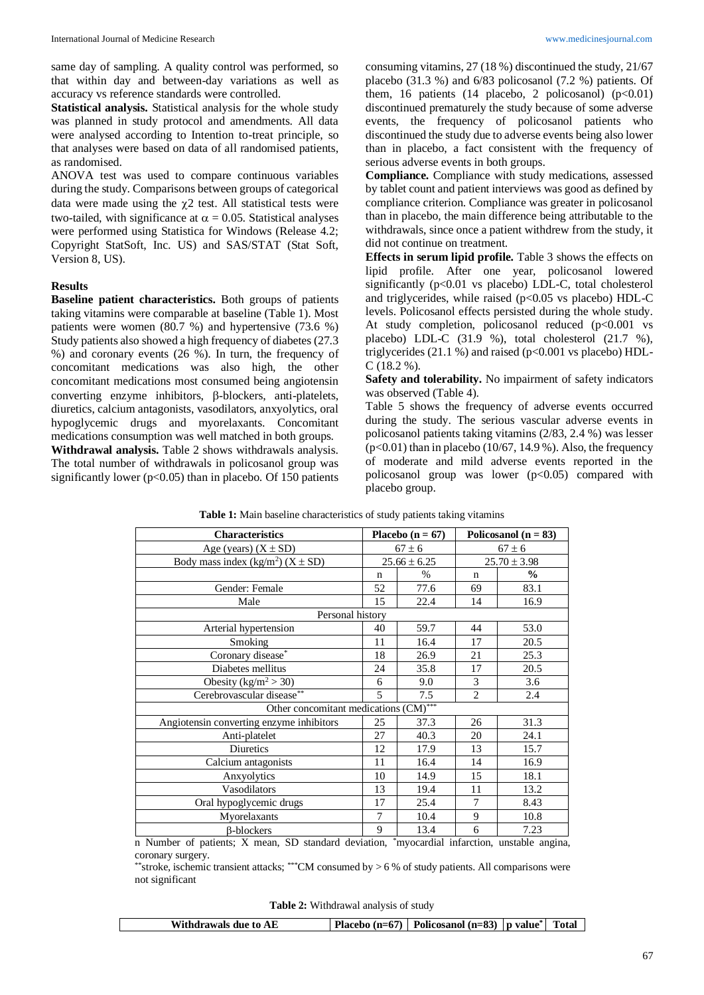same day of sampling. A quality control was performed, so that within day and between-day variations as well as accuracy vs reference standards were controlled.

**Statistical analysis.** Statistical analysis for the whole study was planned in study protocol and amendments. All data were analysed according to Intention to-treat principle, so that analyses were based on data of all randomised patients, as randomised.

ANOVA test was used to compare continuous variables during the study. Comparisons between groups of categorical data were made using the  $\chi$ 2 test. All statistical tests were two-tailed, with significance at  $\alpha = 0.05$ . Statistical analyses were performed using Statistica for Windows (Release 4.2; Copyright StatSoft, Inc. US) and SAS/STAT (Stat Soft, Version 8, US).

## **Results**

**Baseline patient characteristics.** Both groups of patients taking vitamins were comparable at baseline (Table 1). Most patients were women (80.7 %) and hypertensive (73.6 %) Study patients also showed a high frequency of diabetes (27.3 %) and coronary events (26 %). In turn, the frequency of concomitant medications was also high, the other concomitant medications most consumed being angiotensin converting enzyme inhibitors,  $\beta$ -blockers, anti-platelets, diuretics, calcium antagonists, vasodilators, anxyolytics, oral hypoglycemic drugs and myorelaxants. Concomitant medications consumption was well matched in both groups. **Withdrawal analysis.** Table 2 shows withdrawals analysis. The total number of withdrawals in policosanol group was significantly lower ( $p<0.05$ ) than in placebo. Of 150 patients consuming vitamins, 27 (18 %) discontinued the study, 21/67 placebo (31.3 %) and 6/83 policosanol (7.2 %) patients. Of them, 16 patients (14 placebo, 2 policosanol)  $(p<0.01)$ discontinued prematurely the study because of some adverse events, the frequency of policosanol patients who discontinued the study due to adverse events being also lower than in placebo, a fact consistent with the frequency of serious adverse events in both groups.

**Compliance.** Compliance with study medications, assessed by tablet count and patient interviews was good as defined by compliance criterion. Compliance was greater in policosanol than in placebo, the main difference being attributable to the withdrawals, since once a patient withdrew from the study, it did not continue on treatment.

**Effects in serum lipid profile.** Table 3 shows the effects on lipid profile. After one year, policosanol lowered significantly  $(p<0.01$  vs placebo) LDL-C, total cholesterol and triglycerides, while raised ( $p<0.05$  vs placebo) HDL-C levels. Policosanol effects persisted during the whole study. At study completion, policosanol reduced (p<0.001 vs placebo) LDL-C (31.9 %), total cholesterol (21.7 %), triglycerides  $(21.1\%)$  and raised  $(p<0.001$  vs placebo) HDL- $C(18.2\%)$ .

**Safety and tolerability.** No impairment of safety indicators was observed (Table 4).

Table 5 shows the frequency of adverse events occurred during the study. The serious vascular adverse events in policosanol patients taking vitamins (2/83, 2.4 %) was lesser  $(p<0.01)$  than in placebo (10/67, 14.9 %). Also, the frequency of moderate and mild adverse events reported in the policosanol group was lower  $(p<0.05)$  compared with placebo group.

| <b>Characteristics</b>                              | Placebo $(n = 67)$ |                  | Policosanol ( $n = 83$ ) |                  |
|-----------------------------------------------------|--------------------|------------------|--------------------------|------------------|
| Age (years) $(X \pm SD)$                            | $67 \pm 6$         |                  |                          | $67 \pm 6$       |
| Body mass index (kg/m <sup>2</sup> ) ( $X \pm SD$ ) |                    | $25.66 \pm 6.25$ |                          | $25.70 \pm 3.98$ |
|                                                     | n                  | $\%$             | $\mathbf n$              | $\frac{0}{0}$    |
| Gender: Female                                      | 52                 | 77.6             | 69                       | 83.1             |
| Male                                                | 15                 | 22.4             | 14                       | 16.9             |
| Personal history                                    |                    |                  |                          |                  |
| Arterial hypertension                               | 40                 | 59.7             | 44                       | 53.0             |
| Smoking                                             | 11                 | 16.4             | 17                       | 20.5             |
| Coronary disease*                                   | 18                 | 26.9             |                          | 25.3             |
| Diabetes mellitus                                   | 35.8<br>24         |                  | 17                       | 20.5             |
| Obesity ( $\text{kg/m}^2$ > 30)                     | 9.0<br>6           |                  | 3                        | 3.6              |
| Cerebrovascular disease**                           | 5                  | 7.5              | $\mathfrak{D}$           | 2.4              |
| Other concomitant medications (CM)***               |                    |                  |                          |                  |
| Angiotensin converting enzyme inhibitors            | 25                 | 37.3             | 26                       | 31.3             |
| Anti-platelet                                       | 27                 | 40.3             | 20                       | 24.1             |
| Diuretics                                           | 12                 | 17.9             | 13                       | 15.7             |
| Calcium antagonists                                 | 11                 | 16.4             | 14                       | 16.9             |
| Anxyolytics                                         | 10                 | 14.9             | 15                       | 18.1             |
| Vasodilators                                        |                    | 19.4             | 11                       | 13.2             |
| Oral hypoglycemic drugs                             | 17                 | 25.4             | 7                        | 8.43             |
| Myorelaxants                                        | 7                  | 10.4             | 9                        | 10.8             |
| <b>B-blockers</b>                                   | 9                  | 13.4             | 6                        | 7.23             |

| Table 1: Main baseline characteristics of study patients taking vitamins |  |  |  |
|--------------------------------------------------------------------------|--|--|--|
|--------------------------------------------------------------------------|--|--|--|

n Number of patients; X mean, SD standard deviation, \*myocardial infarction, unstable angina, coronary surgery.

\*\*stroke, ischemic transient attacks; \*\*\*CM consumed by > 6 % of study patients. All comparisons were not significant

**Table 2:** Withdrawal analysis of study

| Withdrawals due to AE | Placebo (n=67)   Policosanol (n=83)   p value <sup>*</sup> | Total |
|-----------------------|------------------------------------------------------------|-------|
|                       |                                                            |       |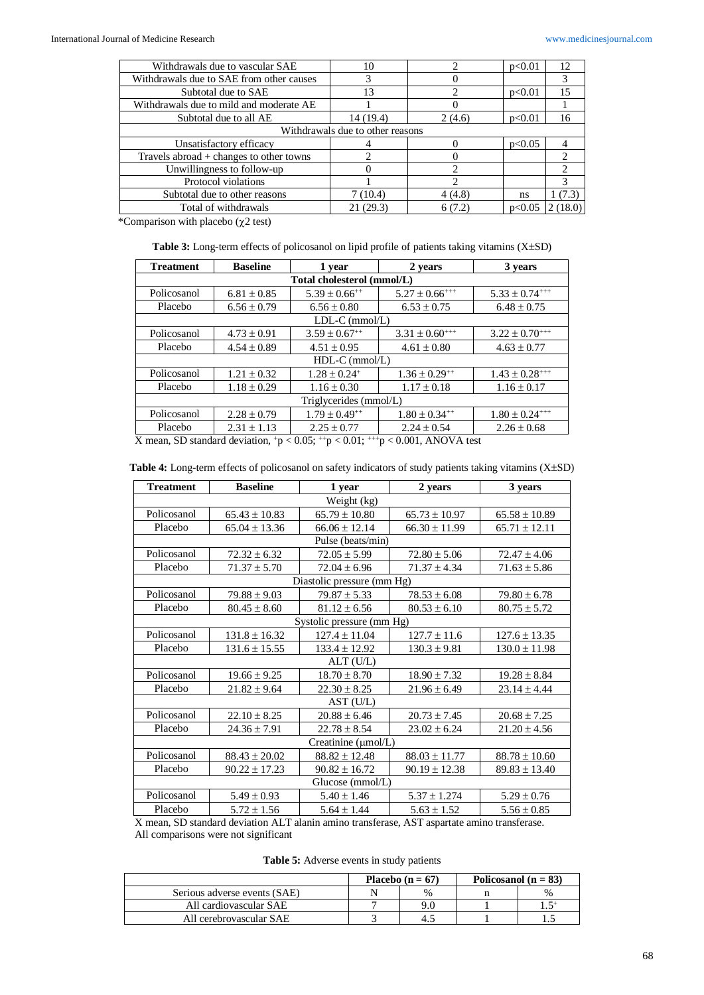| Withdrawals due to vascular SAE           | 10                               |        | p<0.01 | 12      |
|-------------------------------------------|----------------------------------|--------|--------|---------|
| Withdrawals due to SAE from other causes  |                                  |        |        | 3       |
| Subtotal due to SAE                       | 13                               |        | p<0.01 | 15      |
| Withdrawals due to mild and moderate AE   |                                  |        |        |         |
| Subtotal due to all AE                    | 14 (19.4)                        | 2(4.6) | p<0.01 | 16      |
|                                           | Withdrawals due to other reasons |        |        |         |
| Unsatisfactory efficacy                   |                                  |        | p<0.05 |         |
| Travels abroad $+$ changes to other towns |                                  |        |        | ↑       |
| Unwillingness to follow-up                |                                  |        |        |         |
| Protocol violations                       |                                  |        |        |         |
| Subtotal due to other reasons             | 7 (10.4)                         | 4(4.8) | ns     | 1(7.3)  |
| Total of withdrawals                      | 21(29.3)                         | 6(7.2) | p<0.05 | 2(18.0) |

\*Comparison with placebo ( $\chi$ 2 test)

Table 3: Long-term effects of policosanol on lipid profile of patients taking vitamins (X±SD)

| <b>Treatment</b>       | <b>Baseline</b>  | 1 year                       | 2 years                        | 3 years                        |  |  |
|------------------------|------------------|------------------------------|--------------------------------|--------------------------------|--|--|
|                        |                  | Total cholesterol (mmol/L)   |                                |                                |  |  |
| Policosanol            | $6.81 \pm 0.85$  | $5.39 \pm 0.66^{++}$         | $5.27 \pm 0.66$ <sup>+++</sup> | $5.33 \pm 0.74^{+++}$          |  |  |
| Placebo                | $6.56 \pm 0.79$  | $6.56 \pm 0.80$              | $6.53 \pm 0.75$                | $6.48 \pm 0.75$                |  |  |
|                        |                  | $LDL-C$ (mmol/L)             |                                |                                |  |  |
| Policosanol            | $4.73 \pm 0.91$  | $3.59 \pm 0.67^{++}$         | $3.31 \pm 0.60^{++}$           | $3.22 \pm 0.70^{++}$           |  |  |
| Placebo                | $4.54 \pm 0.89$  | $4.51 \pm 0.95$              | $4.61 \pm 0.80$                | $4.63 \pm 0.77$                |  |  |
|                        | $HDL-C$ (mmol/L) |                              |                                |                                |  |  |
| Policosanol            | $1.21 \pm 0.32$  | $1.28 \pm 0.24$ <sup>+</sup> | $1.36 \pm 0.29^{++}$           | $1.43 \pm 0.28$ <sup>+++</sup> |  |  |
| Placebo                | $1.18 \pm 0.29$  | $1.16 \pm 0.30$              | $1.17 \pm 0.18$                | $1.16 \pm 0.17$                |  |  |
| Triglycerides (mmol/L) |                  |                              |                                |                                |  |  |
| Policosanol            | $2.28 \pm 0.79$  | $1.79 \pm 0.49^{++}$         | $1.80 \pm 0.34^{++}$           | $1.80 \pm 0.24$ <sup>+++</sup> |  |  |
| Placebo                | $2.31 \pm 1.13$  | $2.25 \pm 0.77$              | $2.24 \pm 0.54$                | $2.26 \pm 0.68$                |  |  |

X mean, SD standard deviation,  $p < 0.05$ ;  $+p < 0.01$ ;  $p+p < 0.001$ , ANOVA test

| Table 4: Long-term effects of policosanol on safety indicators of study patients taking vitamins (X±SD) |  |  |  |  |  |
|---------------------------------------------------------------------------------------------------------|--|--|--|--|--|
|---------------------------------------------------------------------------------------------------------|--|--|--|--|--|

| <b>Treatment</b> | <b>Baseline</b>        | 1 year                     | 2 years           | 3 years           |  |
|------------------|------------------------|----------------------------|-------------------|-------------------|--|
| Weight (kg)      |                        |                            |                   |                   |  |
| Policosanol      | $65.43 \pm 10.83$      | $65.79 \pm 10.80$          | $65.73 \pm 10.97$ | $65.58 \pm 10.89$ |  |
| Placebo          | $65.04 \pm 13.36$      | $66.06 \pm 12.14$          | $66.30 \pm 11.99$ | $65.71 \pm 12.11$ |  |
|                  |                        | Pulse (beats/min)          |                   |                   |  |
| Policosanol      | $72.32 \pm 6.32$       | $72.05 \pm 5.99$           | $72.80 \pm 5.06$  | $72.47 \pm 4.06$  |  |
| Placebo          | $71.37 \pm 5.70$       | $72.04 \pm 6.96$           | $71.37 \pm 4.34$  | $71.63 \pm 5.86$  |  |
|                  |                        | Diastolic pressure (mm Hg) |                   |                   |  |
| Policosanol      | $79.88 \pm 9.03$       | $79.87 \pm 5.33$           | $78.53 \pm 6.08$  | $79.80 \pm 6.78$  |  |
| Placebo          | $80.45 \pm 8.60$       | $81.12 \pm 6.56$           | $80.53 \pm 6.10$  | $80.75 \pm 5.72$  |  |
|                  |                        | Systolic pressure (mm Hg)  |                   |                   |  |
| Policosanol      | $131.8 \pm 16.32$      | $127.4 \pm 11.04$          | $127.7 \pm 11.6$  | $127.6 \pm 13.35$ |  |
| Placebo          | $131.6 \pm 15.55$      | $133.4 \pm 12.92$          | $130.3 \pm 9.81$  | $130.0 \pm 11.98$ |  |
|                  |                        | $ALT$ (U/L)                |                   |                   |  |
| Policosanol      | $19.66 \pm 9.25$       | $18.70 \pm 8.70$           | $18.90 \pm 7.32$  | $19.28 \pm 8.84$  |  |
| Placebo          | $21.82 \pm 9.64$       | $22.30 \pm 8.25$           | $21.96 \pm 6.49$  | $23.14 \pm 4.44$  |  |
|                  |                        | AST (U/L)                  |                   |                   |  |
| Policosanol      | $22.10 \pm 8.25$       | $20.88 \pm 6.46$           | $20.73 \pm 7.45$  | $20.68 \pm 7.25$  |  |
| Placebo          | $24.36 \pm 7.91$       | $22.78 \pm 8.54$           | $23.02 \pm 6.24$  | $21.20 \pm 4.56$  |  |
|                  |                        | Creatinine $(\mu$ mol/L)   |                   |                   |  |
| Policosanol      | $88.43 \pm 20.02$      | $88.82 \pm 12.48$          | $88.03 \pm 11.77$ | $88.78 \pm 10.60$ |  |
| Placebo          | $90.22 \pm 17.23$      | $90.82 \pm 16.72$          | $90.19 \pm 12.38$ | $89.83 \pm 13.40$ |  |
| Glucose (mmol/L) |                        |                            |                   |                   |  |
| Policosanol      | $5.49 \pm 0.93$        | $5.40 \pm 1.46$            | $5.37 \pm 1.274$  | $5.29 \pm 0.76$   |  |
| Placebo          | $5.72 \pm 1.56$<br>. . | $5.64 \pm 1.44$            | $5.63 \pm 1.52$   | $5.56 \pm 0.85$   |  |

X mean, SD standard deviation ALT alanin amino transferase, AST aspartate amino transferase. All comparisons were not significant

**Table 5:** Adverse events in study patients

|                              | Placebo $(n = 67)$ |               | Policosanol ( $n = 83$ ) |               |
|------------------------------|--------------------|---------------|--------------------------|---------------|
| Serious adverse events (SAE) |                    | $\frac{0}{0}$ |                          | $\frac{0}{0}$ |
| All cardiovascular SAE       |                    |               |                          |               |
| All cerebrovascular SAE      |                    |               |                          |               |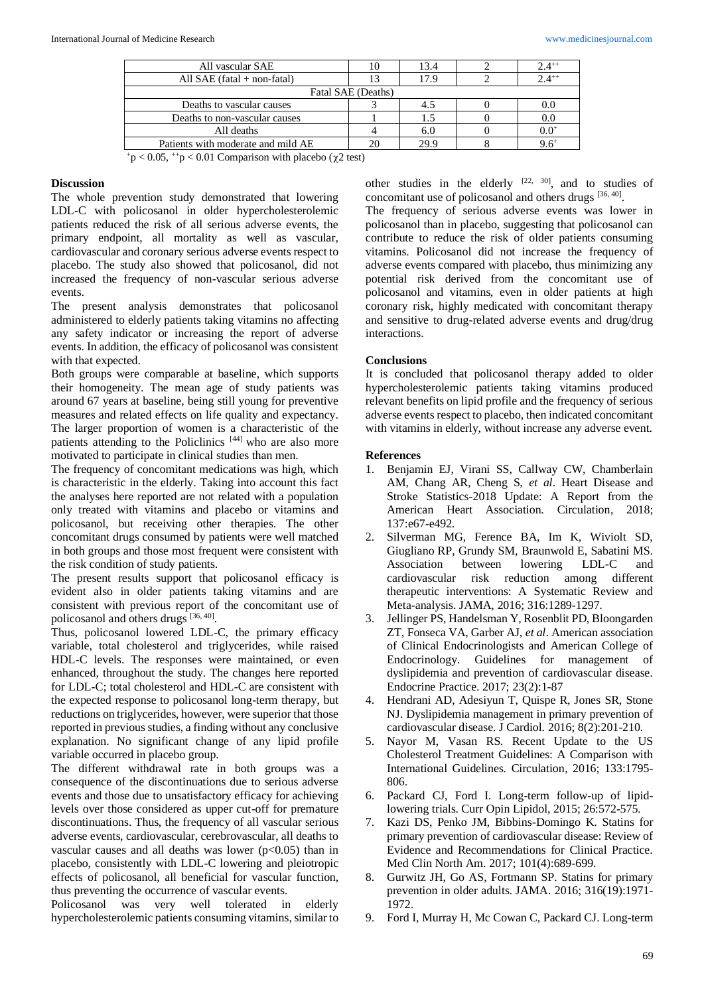| All vascular SAE                   |                    | 13.4 | $2.4^{++}$ |
|------------------------------------|--------------------|------|------------|
| All SAE $(fatal + non-fatal)$      |                    | 17.9 | $2.4^{++}$ |
|                                    | Fatal SAE (Deaths) |      |            |
| Deaths to vascular causes          |                    | 4.5  | 0.0        |
| Deaths to non-vascular causes      |                    | 1.5  | $0.0\,$    |
| All deaths                         |                    | 6.0  | $0.0^{+}$  |
| Patients with moderate and mild AE |                    | 29.9 | $9.6^+$    |
|                                    |                    |      |            |

 $+p < 0.05$ ,  $+p < 0.01$  Comparison with placebo ( $\chi$ 2 test)

## **Discussion**

The whole prevention study demonstrated that lowering LDL-C with policosanol in older hypercholesterolemic patients reduced the risk of all serious adverse events, the primary endpoint, all mortality as well as vascular, cardiovascular and coronary serious adverse events respect to placebo. The study also showed that policosanol, did not increased the frequency of non-vascular serious adverse events.

The present analysis demonstrates that policosanol administered to elderly patients taking vitamins no affecting any safety indicator or increasing the report of adverse events. In addition, the efficacy of policosanol was consistent with that expected.

Both groups were comparable at baseline, which supports their homogeneity. The mean age of study patients was around 67 years at baseline, being still young for preventive measures and related effects on life quality and expectancy. The larger proportion of women is a characteristic of the patients attending to the Policlinics [44] who are also more motivated to participate in clinical studies than men.

The frequency of concomitant medications was high, which is characteristic in the elderly. Taking into account this fact the analyses here reported are not related with a population only treated with vitamins and placebo or vitamins and policosanol, but receiving other therapies. The other concomitant drugs consumed by patients were well matched in both groups and those most frequent were consistent with the risk condition of study patients.

The present results support that policosanol efficacy is evident also in older patients taking vitamins and are consistent with previous report of the concomitant use of policosanol and others drugs [36, 40].

Thus, policosanol lowered LDL-C, the primary efficacy variable, total cholesterol and triglycerides, while raised HDL-C levels. The responses were maintained, or even enhanced, throughout the study. The changes here reported for LDL-C; total cholesterol and HDL-C are consistent with the expected response to policosanol long-term therapy, but reductions on triglycerides, however, were superior that those reported in previous studies, a finding without any conclusive explanation. No significant change of any lipid profile variable occurred in placebo group.

The different withdrawal rate in both groups was a consequence of the discontinuations due to serious adverse events and those due to unsatisfactory efficacy for achieving levels over those considered as upper cut-off for premature discontinuations. Thus, the frequency of all vascular serious adverse events, cardiovascular, cerebrovascular, all deaths to vascular causes and all deaths was lower ( $p<0.05$ ) than in placebo, consistently with LDL-C lowering and pleiotropic effects of policosanol, all beneficial for vascular function, thus preventing the occurrence of vascular events.

Policosanol was very well tolerated in elderly hypercholesterolemic patients consuming vitamins, similar to other studies in the elderly  $[22, 30]$ , and to studies of concomitant use of policosanol and others drugs [36, 40].

The frequency of serious adverse events was lower in policosanol than in placebo, suggesting that policosanol can contribute to reduce the risk of older patients consuming vitamins. Policosanol did not increase the frequency of adverse events compared with placebo, thus minimizing any potential risk derived from the concomitant use of policosanol and vitamins, even in older patients at high coronary risk, highly medicated with concomitant therapy and sensitive to drug-related adverse events and drug/drug interactions.

## **Conclusions**

It is concluded that policosanol therapy added to older hypercholesterolemic patients taking vitamins produced relevant benefits on lipid profile and the frequency of serious adverse events respect to placebo, then indicated concomitant with vitamins in elderly, without increase any adverse event.

## **References**

- 1. Benjamin EJ, Virani SS, Callway CW, Chamberlain AM, Chang AR, Cheng S, *et al*. Heart Disease and Stroke Statistics-2018 Update: A Report from the American Heart Association. Circulation, 2018; 137:e67-e492.
- 2. Silverman MG, Ference BA, Im K, Wiviolt SD, Giugliano RP, Grundy SM, Braunwold E, Sabatini MS. Association between lowering LDL-C and cardiovascular risk reduction among different therapeutic interventions: A Systematic Review and Meta-analysis. JAMA, 2016; 316:1289-1297.
- 3. Jellinger PS, Handelsman Y, Rosenblit PD, Bloongarden ZT, Fonseca VA, Garber AJ, *et al*. American association of Clinical Endocrinologists and American College of Endocrinology. Guidelines for management of dyslipidemia and prevention of cardiovascular disease. Endocrine Practice. 2017; 23(2):1-87
- 4. Hendrani AD, Adesiyun T, Quispe R, Jones SR, Stone NJ. Dyslipidemia management in primary prevention of cardiovascular disease. J Cardiol. 2016; 8(2):201-210.
- 5. Nayor M, Vasan RS. Recent Update to the US Cholesterol Treatment Guidelines: A Comparison with International Guidelines. Circulation, 2016; 133:1795- 806.
- 6. Packard CJ, Ford I. Long-term follow-up of lipidlowering trials. Curr Opin Lipidol, 2015; 26:572-575.
- 7. Kazi DS, Penko JM, Bibbins-Domingo K. Statins for primary prevention of cardiovascular disease: Review of Evidence and Recommendations for Clinical Practice. Med Clin North Am. 2017; 101(4):689-699.
- 8. Gurwitz JH, Go AS, Fortmann SP. Statins for primary prevention in older adults. JAMA. 2016; 316(19):1971- 1972.
- 9. Ford I, Murray H, Mc Cowan C, Packard CJ. Long-term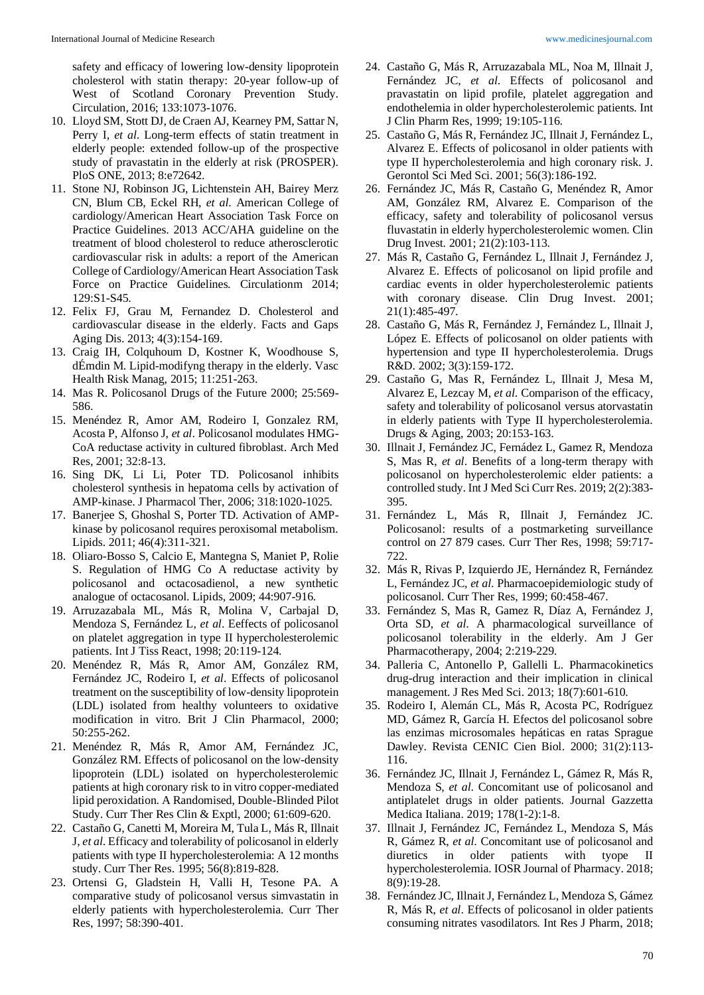safety and efficacy of lowering low-density lipoprotein cholesterol with statin therapy: 20-year follow-up of West of Scotland Coronary Prevention Study. Circulation, 2016; 133:1073-1076.

- 10. Lloyd SM, Stott DJ, de Craen AJ, Kearney PM, Sattar N, Perry I, *et al*. Long-term effects of statin treatment in elderly people: extended follow-up of the prospective study of pravastatin in the elderly at risk (PROSPER). PloS ONE, 2013; 8:e72642.
- 11. Stone NJ, Robinson JG, Lichtenstein AH, Bairey Merz CN, Blum CB, Eckel RH, *et al*. American College of cardiology/American Heart Association Task Force on Practice Guidelines. 2013 ACC/AHA guideline on the treatment of blood cholesterol to reduce atherosclerotic cardiovascular risk in adults: a report of the American College of Cardiology/American Heart Association Task Force on Practice Guidelines. Circulationm 2014; 129:S1-S45.
- 12. Felix FJ, Grau M, Fernandez D. Cholesterol and cardiovascular disease in the elderly. Facts and Gaps Aging Dis. 2013; 4(3):154-169.
- 13. Craig IH, Colquhoum D, Kostner K, Woodhouse S, dÉmdin M. Lipid-modifyng therapy in the elderly. Vasc Health Risk Manag, 2015; 11:251-263.
- 14. Mas R. Policosanol Drugs of the Future 2000; 25:569- 586.
- 15. Menéndez R, Amor AM, Rodeiro I, Gonzalez RM, Acosta P, Alfonso J, *et al*. Policosanol modulates HMG-CoA reductase activity in cultured fibroblast. Arch Med Res, 2001; 32:8-13.
- 16. Sing DK, Li Li, Poter TD. Policosanol inhibits cholesterol synthesis in hepatoma cells by activation of AMP-kinase. J Pharmacol Ther, 2006; 318:1020-1025.
- 17. Banerjee S, Ghoshal S, Porter TD. Activation of AMPkinase by policosanol requires peroxisomal metabolism. Lipids. 2011; 46(4):311-321.
- 18. Oliaro-Bosso S, Calcio E, Mantegna S, Maniet P, Rolie S. Regulation of HMG Co A reductase activity by policosanol and octacosadienol, a new synthetic analogue of octacosanol. Lipids, 2009; 44:907-916.
- 19. Arruzazabala ML, Más R, Molina V, Carbajal D, Mendoza S, Fernández L, *et al*. Eeffects of policosanol on platelet aggregation in type II hypercholesterolemic patients. Int J Tiss React, 1998; 20:119-124.
- 20. Menéndez R, Más R, Amor AM, González RM, Fernández JC, Rodeiro I, *et al*. Effects of policosanol treatment on the susceptibility of low-density lipoprotein (LDL) isolated from healthy volunteers to oxidative modification in vitro. Brit J Clin Pharmacol, 2000; 50:255-262.
- 21. Menéndez R, Más R, Amor AM, Fernández JC, González RM. Effects of policosanol on the low-density lipoprotein (LDL) isolated on hypercholesterolemic patients at high coronary risk to in vitro copper-mediated lipid peroxidation. A Randomised, Double-Blinded Pilot Study. Curr Ther Res Clin & Exptl, 2000; 61:609-620.
- 22. Castaño G, Canetti M, Moreira M, Tula L, Más R, Illnait J, *et al*. Efficacy and tolerability of policosanol in elderly patients with type II hypercholesterolemia: A 12 months study. Curr Ther Res. 1995; 56(8):819-828.
- 23. Ortensi G, Gladstein H, Valli H, Tesone PA. A comparative study of policosanol versus simvastatin in elderly patients with hypercholesterolemia. Curr Ther Res, 1997; 58:390-401.
- 24. Castaño G, Más R, Arruzazabala ML, Noa M, Illnait J, Fernández JC, *et al*. Effects of policosanol and pravastatin on lipid profile, platelet aggregation and endothelemia in older hypercholesterolemic patients. Int J Clin Pharm Res, 1999; 19:105-116.
- 25. Castaño G, Más R, Fernández JC, Illnait J, Fernández L, Alvarez E. Effects of policosanol in older patients with type II hypercholesterolemia and high coronary risk. J. Gerontol Sci Med Sci. 2001; 56(3):186-192.
- 26. Fernández JC, Más R, Castaño G, Menéndez R, Amor AM, González RM, Alvarez E. Comparison of the efficacy, safety and tolerability of policosanol versus fluvastatin in elderly hypercholesterolemic women. Clin Drug Invest. 2001; 21(2):103-113.
- 27. Más R, Castaño G, Fernández L, Illnait J, Fernández J, Alvarez E. Effects of policosanol on lipid profile and cardiac events in older hypercholesterolemic patients with coronary disease. Clin Drug Invest. 2001; 21(1):485-497.
- 28. Castaño G, Más R, Fernández J, Fernández L, Illnait J, López E. Effects of policosanol on older patients with hypertension and type II hypercholesterolemia. Drugs R&D. 2002; 3(3):159-172.
- 29. Castaño G, Mas R, Fernández L, Illnait J, Mesa M, Alvarez E, Lezcay M, *et al*. Comparison of the efficacy, safety and tolerability of policosanol versus atorvastatin in elderly patients with Type II hypercholesterolemia. Drugs & Aging, 2003; 20:153-163.
- 30. Illnait J, Fernández JC, Fernádez L, Gamez R, Mendoza S, Mas R, *et al*. Benefits of a long-term therapy with policosanol on hypercholesterolemic elder patients: a controlled study. Int J Med Sci Curr Res. 2019; 2(2):383- 395.
- 31. Fernández L, Más R, Illnait J, Fernández JC. Policosanol: results of a postmarketing surveillance control on 27 879 cases. Curr Ther Res, 1998; 59:717- 722.
- 32. Más R, Rivas P, Izquierdo JE, Hernández R, Fernández L, Fernández JC, *et al*. Pharmacoepidemiologic study of policosanol. Curr Ther Res, 1999; 60:458-467.
- 33. Fernández S, Mas R, Gamez R, Díaz A, Fernández J, Orta SD, *et al*. A pharmacological surveillance of policosanol tolerability in the elderly. Am J Ger Pharmacotherapy, 2004; 2:219-229.
- 34. Palleria C, Antonello P, Gallelli L. Pharmacokinetics drug-drug interaction and their implication in clinical management. J Res Med Sci. 2013; 18(7):601-610.
- 35. Rodeiro I, Alemán CL, Más R, Acosta PC, Rodríguez MD, Gámez R, García H. Efectos del policosanol sobre las enzimas microsomales hepáticas en ratas Sprague Dawley. Revista CENIC Cien Biol. 2000; 31(2):113- 116.
- 36. Fernández JC, Illnait J, Fernández L, Gámez R, Más R, Mendoza S, *et al*. Concomitant use of policosanol and antiplatelet drugs in older patients. Journal Gazzetta Medica Italiana. 2019; 178(1-2):1-8.
- 37. Illnait J, Fernández JC, Fernández L, Mendoza S, Más R, Gámez R, *et al*. Concomitant use of policosanol and diuretics in older patients with tyope II hypercholesterolemia. IOSR Journal of Pharmacy. 2018; 8(9):19-28.
- 38. Fernández JC, Illnait J, Fernández L, Mendoza S, Gámez R, Más R, *et al*. Effects of policosanol in older patients consuming nitrates vasodilators. Int Res J Pharm, 2018;